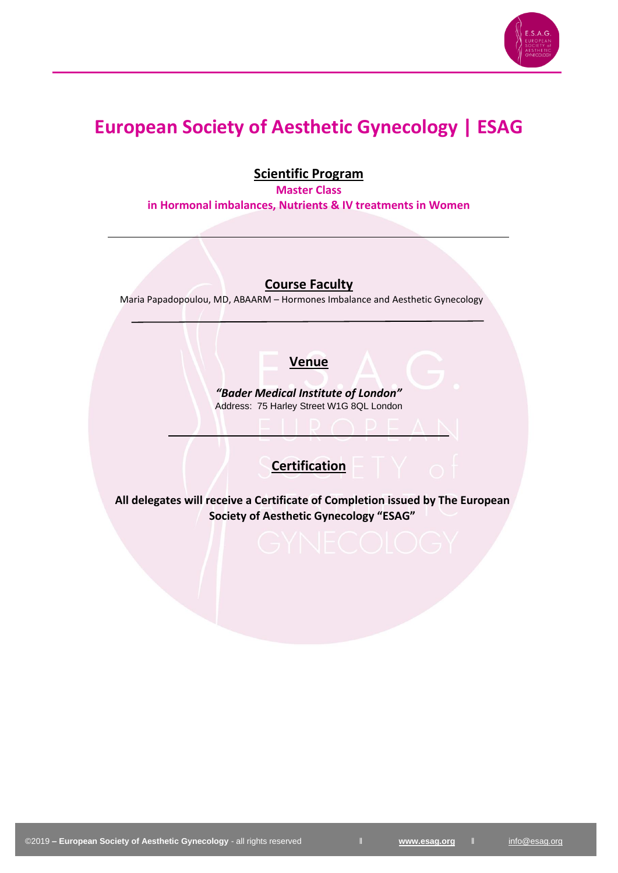

# **European Society of Aesthetic Gynecology | ESAG**

**Scientific Program**

**Master Class in Hormonal imbalances, Nutrients & IV treatments in Women**

**Course Faculty** 

Maria Papadopoulou, MD, ABAARM – Hormones Imbalance and Aesthetic Gynecology

### **Venue**

*"Bader Medical Institute of London"* Address: 75 Harley Street W1G 8QL London

### **Certification**

**All delegates will receive a Certificate of Completion issued by The European Society of Aesthetic Gynecology "ESAG"**